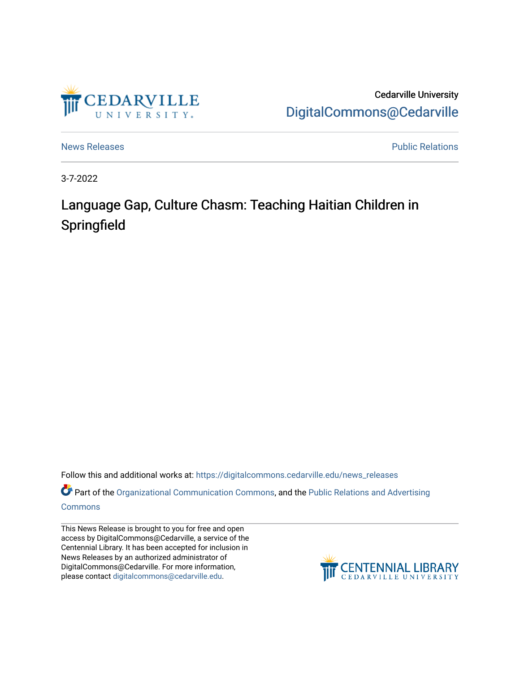

Cedarville University [DigitalCommons@Cedarville](https://digitalcommons.cedarville.edu/) 

[News Releases](https://digitalcommons.cedarville.edu/news_releases) **Public Relations Public Relations** 

3-7-2022

# Language Gap, Culture Chasm: Teaching Haitian Children in **Springfield**

Follow this and additional works at: [https://digitalcommons.cedarville.edu/news\\_releases](https://digitalcommons.cedarville.edu/news_releases?utm_source=digitalcommons.cedarville.edu%2Fnews_releases%2F1512&utm_medium=PDF&utm_campaign=PDFCoverPages) 

Part of the [Organizational Communication Commons](http://network.bepress.com/hgg/discipline/335?utm_source=digitalcommons.cedarville.edu%2Fnews_releases%2F1512&utm_medium=PDF&utm_campaign=PDFCoverPages), and the [Public Relations and Advertising](http://network.bepress.com/hgg/discipline/336?utm_source=digitalcommons.cedarville.edu%2Fnews_releases%2F1512&utm_medium=PDF&utm_campaign=PDFCoverPages)  [Commons](http://network.bepress.com/hgg/discipline/336?utm_source=digitalcommons.cedarville.edu%2Fnews_releases%2F1512&utm_medium=PDF&utm_campaign=PDFCoverPages)

This News Release is brought to you for free and open access by DigitalCommons@Cedarville, a service of the Centennial Library. It has been accepted for inclusion in News Releases by an authorized administrator of DigitalCommons@Cedarville. For more information, please contact [digitalcommons@cedarville.edu](mailto:digitalcommons@cedarville.edu).

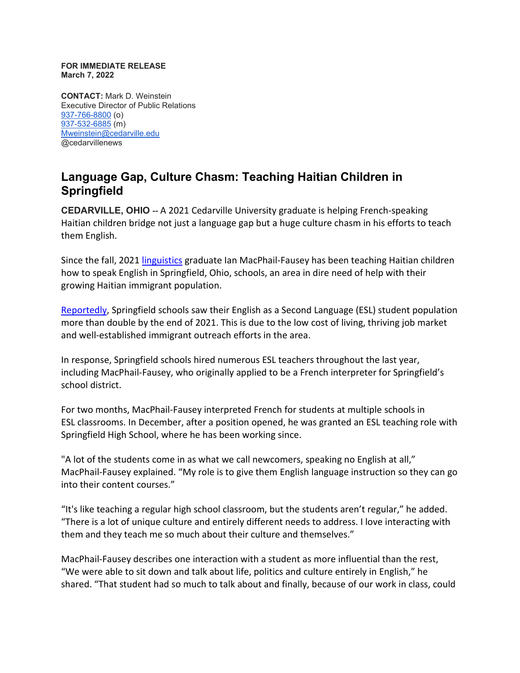#### **FOR IMMEDIATE RELEASE March 7, 2022**

**CONTACT:** Mark D. Weinstein Executive Director of Public Relations [937-766-8800](tel:937-766-8800) (o) [937-532-6885](tel:937-532-6885) (m) [Mweinstein@cedarville.edu](mailto:Mweinstein@cedarville.edu) @cedarvillenews

## **Language Gap, Culture Chasm: Teaching Haitian Children in Springfield**

**CEDARVILLE, OHIO --** A 2021 Cedarville University graduate is helping French-speaking Haitian children bridge not just a language gap but a huge culture chasm in his efforts to teach them English.

Since the fall, 2021 [linguistics](https://www.cedarville.edu/academic-programs/linguistics) graduate Ian MacPhail-Fausey has been teaching Haitian children how to speak English in Springfield, Ohio, schools, an area in dire need of help with their growing Haitian immigrant population.

[Reportedly,](https://www.wyso.org/local-and-statewide-news/2022-01-06/springfield-schools-expanding-esl-program-for-spanish-haitian-creole-and-french-speakers) Springfield schools saw their English as a Second Language (ESL) student population more than double by the end of 2021. This is due to the low cost of living, thriving job market and well-established immigrant outreach efforts in the area.

In response, Springfield schools hired numerous ESL teachers throughout the last year, including MacPhail-Fausey, who originally applied to be a French interpreter for Springfield's school district.

For two months, MacPhail-Fausey interpreted French for students at multiple schools in ESL classrooms. In December, after a position opened, he was granted an ESL teaching role with Springfield High School, where he has been working since.

"A lot of the students come in as what we call newcomers, speaking no English at all," MacPhail-Fausey explained. "My role is to give them English language instruction so they can go into their content courses."

"It's like teaching a regular high school classroom, but the students aren't regular," he added. "There is a lot of unique culture and entirely different needs to address. I love interacting with them and they teach me so much about their culture and themselves."

MacPhail-Fausey describes one interaction with a student as more influential than the rest, "We were able to sit down and talk about life, politics and culture entirely in English," he shared. "That student had so much to talk about and finally, because of our work in class, could